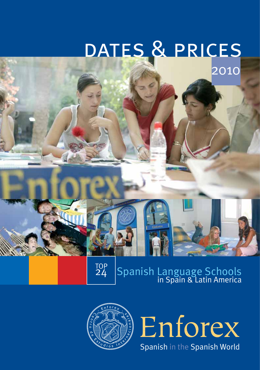# dates & prices

2010

TOP<br>24

Spanish Language Schools<br>in Spain & Latin America



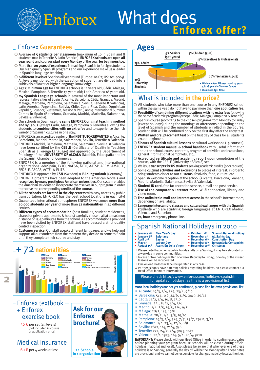## What does Enforex **Enforex offer?**

#### Enforex **Guarantees Ages**

- Average of **5 students per classroom** (maximum of 10 in Spain and 8 students max in Tenerife & Latin America). **ENFOREX schools are open all year round** and courses **start every Monday** of the year, **for beginners too.**
- More than **20 years of experience** in teaching Spanish to foreign students. Our high quality Spanish programs and our experience make us a leader in Spanish language teaching.
- **6 different levels** of Spanish all year round (Europe: A1-C2; US: 101-4004). All levels mentioned, with the exception of superior, are divided into 3 sublevels of lower or higher language knowledge.
- Ages: **minimum age** for ENFOREX schools is 14 years old; Cádiz, Málaga, Mexico, Pamplona & Tenerife 17 years old; Latin America 18 years old.<br>  $\bigcirc$  24 Spanish Language schools in several of the most important and
- representative cities of Spain (Alicante, Barcelona, Cádiz, Granada, Madrid, Málaga, Marbella, Pamplona, Salamanca, Sevilla, Tenerife & Valencia),<br>Latin America (Argentina, Bolivia, Chile, Costa Rica, Cuba, Dominican<br>Republic, Ecuador, Guatemala, Mexico & Peru) and 9 international Summer<br>Camps in S Sevilla & Valencia).
- Our schools in Spain use the **same ENFOREX original teaching method and syllabus** (except Cádiz, Málaga, Pamplona & Tenerife) allowing the students to **combine cities with no extra fee** and to experience the rich variety of Spanish cultures in one stay.
- ENFOREX is an accredited center of the **INSTITUTO CERVANTES** in Alicante, Barcelona, Madrid, Marbella, Salamanca, Sevilla, Tenerife & Valencia.
- ENFOREX Madrid, Barcelona, Marbella, Salamanca, Sevilla & Valencia have been certified by the **CEELE** (Certificate of Quality in Teaching<br>Spanish as a Foreign Language) and approved by the Department of<br>Philology of the **UNIVERSITY OF ALCALÁ** (Madrid), Eduespaña and by the Spanish Chamber of Commerce.
- $\bigcirc$  ENFOREX is a member of the following national and international organizations: eduSpain, FYTO, NAFSA, ALTO, AATSP, AEEM, AMACFE, FEDELE, AECAE, ACTFL & ELITE.
- ENFOREX is approved by **CSN** (Sweden) & **Bildungsurlaub** (Germany).
- ENFOREX programs have been adapted to the American Models and **recognized by many prestigious American universities.** Our system enables the American students to incorporate themselves in our program in order to receive the corresponding **credits of the course.**
- **All the schools are located in the city centers** with easy access by public transportation. ENFOREX has the best school locations in each city!
- Guaranteed international atmosphere: ENFOREX welcomes **more than 20,000 students per year** of more than **72 nationalities** in 24 different centers.
- **Different types of accommodation** (host families, student residences, shared or private apartments & hotels) carefully chosen, all at a maximun distance of 15-30 minutes from the school. All accommodations provided have been visited by ENFOREX staff and have passed a strict quality control inspection.
- **Customer service:** Our staff speaks different languages, and we help and support all our students from the moment they decide to come to Spain until they complete their course and stay.



**2**





#### What is included **in the price?**

- All students who take more than one course in any ENFOREX school within the same year, do not have to pay more than **one application fee.**
- **Possibility of combining different locations with no extra fees** following  $\bigcap$ the same academic program (except Cádiz, Málaga, Pamplona & Tenerife).
- Spanish course (according to the chosen program) from Monday to Friday (except holidays) during the mornings or afternoons depending on the level of Spanish and the number of students enrolled in the course. Student shift will be confirmed only on the first day after the entry test.
- **Written and oral placement test** on the first day of class for all students except beginners.
- **5 hours of Spanish cultural lessons** or cultural workshops (+5 courses).
- **ENFOREX student manual & school handbook** with useful information about the school, course contents, program of activities and excursions, general informational pamphlets, etc…
- **Accredited certificate and academic report** upon completion of the course, with the CEELE (University of Alcalá) seal. ∩
- We issue **transcripts for US students** seeking academic credits (prior request).
- Some **cultural activities and excursions** to places of interest, in order to bring students closer to our customs, festivals, food, culture, etc.
- C Spanish welcome reception at the school (Alicante, Barcelona, Granada, Madrid, Marbella, Salamanca, Sevilla & Valencia).
- **Student ID card,** free fax reception service, e-mail and post service.
- **Use of the computer & Internet room,** Wi-fi connection, library and
- video room. **Free unlimited e-mail and Internet access** in the school's Internet room, ∩ depending on availability.
- **Language intercambio classes and cultural exchanges with the Spanish students** who are studying foreign languages at ENFOREX Madrid, Valencia and Barcelona.
- **24-hour** emergency phone line.

#### Spanish National Holidays in 2010

- January 1<sup>st</sup> New Year's day<br>January 6<sup>th</sup> Epiphany
- **• October 12th Spanish National Holiday** • **November 1st • December 6th • December 6th Constitution Day**
- **January 6th Epiphany April 2nd Easter May 1st Labour Day**
- **• December 8th Inmaculada Concepción • December 25th Christmas**
- **August 15th Asunción de la Virgen**
- ❑ Please note that when a public holiday falls on a Sunday, it may be celebrated on a weekday in some communities.
- ❑ In case of two holidays within one week (Monday to Friday), one day of the missed lessons will be recuperated.
- ❑ One on one classes will be recuperated in any case.
- ❑ Partner schools have different policies regarding holidays, so please contact our Head Office for more information.

#### Please check http://www.enforex.com/holidays-spain.html for updated holidays, as this is a provisional list

**2010 local holidays** are not yet confirmed, please find below a provisional list:

- Alicante: 19/3, 1/4, 5/4, 23/4, 9/10
- Barcelona: 5/4, 1/6, 24/6, 11/9, 24/9, 26/12
- Cádiz: 15/2, 1/4, 16/8, 7/10
- Granada: 2/1, 28/2, 1/4, 3/6
- Madrid: 1/4, 2/5, 15/5, 3/6, 9/11
- Málaga: 28/2, 1/4, 19/8
- Marbella: 28/2, 1/4, 3/5, 19/10
- Pamplona: 19/3, 1/4, 5/4, 7/7, 25/7, 29/11, 3/12
- Salamanca: 1/4, 23/4, 12/6, 8/9
- Sevilla: 28/2, 1/4, 21/4, 3/6
- Tenerife: 2/2, 24/2, 2/4, 30/5, 16/7
- Valencia: 22/1, 19/3, 1/4, 5/4, 20/4, 9/10

**IMPORTANT:** Please check with our Head Office in order to confirm exact dates before planning your program because schools will be closed during official holidays (national and local). Also, please be aware that whenever one of these holidays is on Sunday, generally the day off will be the Monday after. These dates are provisional and we cannot be responsible for changes made by local authorities.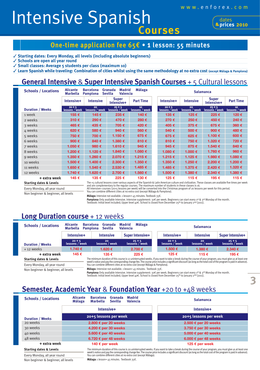**Intensive Spanish** 

**2010 prices** dates

#### **One-time application fee 65€ • 1 lesson: 55 minutes**

✓ **Starting dates: Every Monday, all levels (including absolute beginners)**

✓ **Schools are open all year round**

✓ **Small classes: Average 5 students per class (maximum 10)**

✓ **Learn Spanish while traveling: Combination of cities whilst using the same methodology at no extra cost (except Málaga & Pamplona)**

#### **General Intensive** & **Super Intensive Spanish Courses** + 5 Cultural lessons

| <b>Schools / Locations</b> | <b>Alicante</b><br><b>Marbella</b> | <b>Barcelona</b><br><b>Pamplona</b> | <b>Málaga</b><br><b>Madrid</b><br>Granada<br><b>Sevilla</b><br><b>Valencia</b> |                                    |  | <b>Salamanca</b>           |                      |                            |                      |
|----------------------------|------------------------------------|-------------------------------------|--------------------------------------------------------------------------------|------------------------------------|--|----------------------------|----------------------|----------------------------|----------------------|
|                            | Intensive+                         | <b>Intensive</b>                    | <b>Super</b><br>Intensive+                                                     | <b>Part Time</b>                   |  | Intensive+                 | <b>Intensive</b>     | <b>Super</b><br>Intensive+ | <b>Part Time</b>     |
| <b>Duration / Weeks</b>    | $20 + 5$<br>lessons / week         | 20<br>lessons / week                | $25 + 5$<br>lessons / week                                                     | 10 <sup>10</sup><br>lessons / week |  | $20 + 5$<br>lessons / week | 20<br>lessons / week | $25 + 5$<br>lessons / week | 10<br>lessons / week |
| 1 week                     | 155€                               | 145€                                | 235€                                                                           | 140€                               |  | 135€                       | 125€                 | 225€                       | 120€                 |
| 2 weeks                    | 310€                               | 290€                                | 470€                                                                           | 280€                               |  | 270€                       | 250€                 | 450€                       | 240€                 |
| 3 weeks                    | 465€                               | 435€                                | 705€                                                                           | 420€                               |  | 405€                       | 375€                 | 675€                       | 360€                 |
| 4 weeks                    | 620€                               | 580€                                | 940€                                                                           | 560€                               |  | 540€                       | 500€                 | 900€                       | 480€                 |
| 5 weeks                    | 750€                               | 700€                                | 1.150€                                                                         | 675€                               |  | 675€                       | 625€                 | 1.100 €                    | 600€                 |
| 6 weeks                    | 900 $\epsilon$                     | 840€                                | 1.380€                                                                         | 810€                               |  | 810€                       | 750€                 | 1.320 €                    | 720€                 |
| 7 weeks                    | 1.050€                             | 980€                                | 1.610€                                                                         | 945€                               |  | 945€                       | 875€                 | 1.540 €                    | 840€                 |
| 8 weeks                    | 1.200 €                            | 1.120€                              | 1.840€                                                                         | 1.080€                             |  | 1.080 €                    | 1.000 €              | 1.760 €                    | 960€                 |
| 9 weeks                    | 1.350€                             | 1.260€                              | 2.070€                                                                         | 1.215€                             |  | 1.215€                     | 1.125€               | 1.980 €                    | 1.080€               |
| 10 weeks                   | 1.500 €                            | 1.400 €                             | 2.300 €                                                                        | 1.350€                             |  | 1.350 €                    | 1.250€               | $2.200 \in$                | 1.200€               |
| 11 weeks                   | 1.650€                             | 1.540 €                             | 2.530€                                                                         | 1.485€                             |  | 1.485€                     | 1.375 €              | $2.420 \t€$                | 1.320€               |
| 12 weeks                   | 1.740€                             | 1.620€                              | 2.700 €                                                                        | 1.560€                             |  | 1.500 €                    | 1.380 €              | $2.340 \t∈$                | 1.380 €              |
| + extra week               | 145€                               | 135€                                | 225€                                                                           | 130€                               |  | 125€                       | 115€                 | 195€                       | 115€                 |

**Starting dates & Levels**

Every Monday, all year round

Non beginner & beginner, all levels

and are complementary to the regular courses. The maximum number of students in these classes is 16.<br>All Intensive+ courses (20+5 lessons per week) will be converted into the Christmas program of 20 lessons per week for th **Málaga:** Intensive not available. 1 lesson= 45 minutes. Textbook 35€.

**Pamplona:**Only available Intensive. Intensive supplement: 30€ per week. Beginners can start every 1s<sup>t</sup> & 3<sup>rd</sup> Monday of the month.<br>Textbook: Initial level included; Upper level 40€. School is closed from December 25tʰ

The +5 cultural lessons cover various aspects of the Spanish & Latin American culture and civilization. These classes are available five times per week

#### **Long Duration course** + 12 weeks

| <b>Schools / Locations</b>                                                                                                                                                                                                                                                                                                                                               | <b>Alicante</b><br><b>Marbella</b> | Málaga<br><b>Madrid</b><br><b>Barcelona</b><br>Granada<br><b>Sevilla</b><br><b>Valencia</b><br><b>Pamplona</b> |                            |  | <b>Salamanca</b>           |                      |                            |  |
|--------------------------------------------------------------------------------------------------------------------------------------------------------------------------------------------------------------------------------------------------------------------------------------------------------------------------------------------------------------------------|------------------------------------|----------------------------------------------------------------------------------------------------------------|----------------------------|--|----------------------------|----------------------|----------------------------|--|
|                                                                                                                                                                                                                                                                                                                                                                          | Intensive+                         | Super Intensive+<br><b>Intensive</b>                                                                           |                            |  | Intensive+                 | <b>Intensive</b>     | Super Intensive+           |  |
| <b>Duration / Weeks</b>                                                                                                                                                                                                                                                                                                                                                  | $20 + 5$<br>lessons / week         | 20<br>lessons / week                                                                                           | $25 + 5$<br>lessons / week |  | $20 + 5$<br>lessons / week | 20<br>lessons / week | $25 + 5$<br>lessons / week |  |
| + 12 weeks                                                                                                                                                                                                                                                                                                                                                               | 1.740€                             | 1.620€                                                                                                         | 2.700€                     |  | 1.500 €                    | 1.380€               | $2.340 \t∈$                |  |
| + extra week                                                                                                                                                                                                                                                                                                                                                             | 145€                               | 135 €                                                                                                          | 225€                       |  | 125 €                      | 115€                 | 195 €                      |  |
| The minimum duration of this course is 12 uninterrupted weeks. If you want to take a break during the course of your program, you must give us at least one<br><b>Starting dates &amp; Levels</b><br>week's notice and pay the corresponding change fee. The course price includes a significant discount (as long as the total cost of the program is paid in advance). |                                    |                                                                                                                |                            |  |                            |                      |                            |  |
| Every Monday, all year round<br>You can combine different cities at no extra cost (except Málaga & Pamplona).                                                                                                                                                                                                                                                            |                                    |                                                                                                                |                            |  |                            |                      |                            |  |

Every Monday, all year round Non beginner & beginner, all levels

**Málaga:** Intensive not available. 1 lesson= 45 minutes. Textbook 35€.

**Pamplona:**Only available Intensive. Intensive supplement: 30€ per week. Beginners can start every 1s<sup>t</sup> & 3<sup>rd</sup> Monday of the month.<br>Textbook: Initial level included; Upper level 40€. School is closed from December 25tʰ

### **Semester, Academic Year** & **Foundation Year** +20 to +48 weeks

| <b>Schools / Locations</b>         | <b>Madrid</b><br><b>Alicante</b><br><b>Barcelona</b><br>Granada<br><b>Valencia</b><br>Málaga<br><b>Sevilla</b><br><b>Marbella</b> | <b>Salamanca</b>                                                                                                                                                                                                                                                                                                                                                                                         |  |  |  |
|------------------------------------|-----------------------------------------------------------------------------------------------------------------------------------|----------------------------------------------------------------------------------------------------------------------------------------------------------------------------------------------------------------------------------------------------------------------------------------------------------------------------------------------------------------------------------------------------------|--|--|--|
|                                    | Intensive+                                                                                                                        | Intensive+                                                                                                                                                                                                                                                                                                                                                                                               |  |  |  |
| <b>Duration / Weeks</b>            | 20+5 lessons per week                                                                                                             | 20+5 lessons per week                                                                                                                                                                                                                                                                                                                                                                                    |  |  |  |
| 20 weeks                           | 2.800 € per 20 weeks                                                                                                              | 2.500 € per 20 weeks                                                                                                                                                                                                                                                                                                                                                                                     |  |  |  |
| 30 weeks                           | 4.200 € per 30 weeks                                                                                                              | 3.750 € per 30 weeks                                                                                                                                                                                                                                                                                                                                                                                     |  |  |  |
| 40 weeks                           | 5.600 € per 40 weeks                                                                                                              | 5.000 € per 40 weeks                                                                                                                                                                                                                                                                                                                                                                                     |  |  |  |
| 48 weeks                           | 6.720 € per 48 weeks                                                                                                              | 6.000 € per 48 weeks                                                                                                                                                                                                                                                                                                                                                                                     |  |  |  |
| + extra week                       | 140 € per week                                                                                                                    | 125 € per week                                                                                                                                                                                                                                                                                                                                                                                           |  |  |  |
| <b>Starting dates &amp; Levels</b> |                                                                                                                                   | The minimum duration of this course is 20 uninterrupted weeks. If you want to take a break during the course of your program, you must give us at least one<br>week's notice and pay the corresponding change fee. The course price includes a significant discount (as long as the total cost of the program is paid in advance).<br>You can combine different cities at no extra cost (except Málaga). |  |  |  |
| Every Monday, all year round       |                                                                                                                                   |                                                                                                                                                                                                                                                                                                                                                                                                          |  |  |  |

Non beginner & beginner, all levels

**Málaga:** 1 lesson= 45 minutes. Textbook 35€.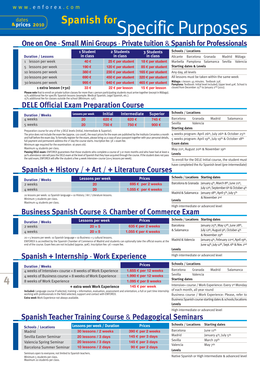#### **2010 2010** dates **Spanish for Specific Purposes**

### **One on One** - **Small Mini Groups** - **Private tuition** & **Spanish for Professionals**

|                           | 1 Student     | 2 Students                 | 3 Students                |                                                                                                                                                              | <b>Schools / Locations</b>         |                                                        |         |          |
|---------------------------|---------------|----------------------------|---------------------------|--------------------------------------------------------------------------------------------------------------------------------------------------------------|------------------------------------|--------------------------------------------------------|---------|----------|
| <b>Duration / Lessons</b> | in class      | in class                   | in class                  | Alicante                                                                                                                                                     | Barcelona                          | Granada                                                | Madrid  | Málaga   |
| 1 lesson per week         | 40€           | 25 € per student           | 18 $\epsilon$ per student |                                                                                                                                                              | Marbella Pamplona                  | Salamanca                                              | Sevilla | Valencia |
| 5 lessons per week        | 190 €         | 120 € per student          | 85 $\epsilon$ per student |                                                                                                                                                              | <b>Starting dates &amp; Levels</b> |                                                        |         |          |
| 10 lessons per week       | 380€          | 230 € per student          | 165 € per student         | Any day, all levels                                                                                                                                          |                                    |                                                        |         |          |
| 20 lessons per week       | 690€          | 450 € per student          | 320 € per student         |                                                                                                                                                              |                                    | All lessons must be taken within the same week         |         |          |
| 30 lessons per week       | 995€          | 640 $\epsilon$ per student | 465 € per student         |                                                                                                                                                              |                                    | Málaga: 1 lesson: 45 minutes. Textbook 35 $\epsilon$ . |         |          |
| $1$ extra lesson $(+30)$  | $33 \epsilon$ | 22 € per lesson            | 15 $\epsilon$ per lesson  | <b>Pamplona:</b> Textbook: Initial level included; Upper level $40 \in$ . School is closed from December 25 <sup>th</sup> to January 2 <sup>nd</sup> (2011). |                                    |                                                        |         |          |

**Please note** that to enroll on private tuition classes for more than 1 person participating students must arrive together (except in Málaga). 15% additional fee for specific Spanish lessons (example: Medical Spanish, Legal Spanish, etc.). 15% additional fee for classes outside the school (Minimum: 15€).

## **DELE Official Exam Preparation Course**

| <b>Duration / Weeks</b> | Lessons per week | <b>Initial</b> | <b>Intermediate</b> | <b>Superior</b> | <b>Schools / Locations</b> |          |        |           |
|-------------------------|------------------|----------------|---------------------|-----------------|----------------------------|----------|--------|-----------|
| 4 weeks                 | 20               | 620€           | 620€                | 745€            | Barcelona                  | Granada  | Madrid | Salamanca |
| 5 weeks                 | 20               | 750€           | 750 €               | 900€            | Sevilla<br>$Chapter 1$     | Valencia |        |           |

Preparation course for any of the 3 DELE levels (Initial, Intermediate & Superior).

The price does not include the exam fee (approx. 120-200€), the exact prices for the exam are published by the Instituto Cervantes a month 4 weeks program: April 26<sup>th</sup>, July 26<sup>th</sup> & October 25<sup>th</sup> and half before the exam day. To formally register for the exam, please bring us a copy of your passport together with your personal details, full payment and permanent address the 1<sup>st</sup> day the course starts. Inscription fee:  $5€ + e$ xam fee. Minimum age required for the examination: 16 years old.

Maximum 14 students per class.

Passing DELE exam: ENFOREX guarantees that those students who complete a course of 3 or more months and who have had at least a 90% attendance rate will pass the DELE exam at the level of Spanish that they have acquired through the course. If the student does not pass the said exam, ENFOREX will offer the student a free 4-week Intensive+ course (20+5 lessons per week).

## **Spanish + History** / **+ Art** / **+ Literature Courses**

| <b>Duration / Weeks</b> | Lessons per week | <b>Prices</b>         |
|-------------------------|------------------|-----------------------|
| 2 weeks                 | 20               | 695 € per 2 weeks     |
| 4 weeks                 | 20               | 1.055 $€$ per 4 weeks |

20 lessons per week: 10 Spanish language + 10 History / Art / Literature lessons. Minimum 3 students per class.

Maximum 14 students per class.

**4**

## **Business Spanish Course** & **Chamber of Commerce Exam**

| <b>Duration / Weeks</b> | Lessons per week | <b>Prices</b>       | <b>Schools / Locations Starting dates</b> |                                    |  |
|-------------------------|------------------|---------------------|-------------------------------------------|------------------------------------|--|
| 2 weeks                 | $20 + 5$         | 635 € per 2 weeks   | Barcelona                                 | January 25th, May 17th, June 28th, |  |
| 4 weeks                 | $20 + 5$         | 1.055 € per 4 weeks | & Salamanca                               | July 12th, August 9th, October 4th |  |
|                         |                  |                     |                                           | & November 29th                    |  |

20 + 5 lessons per week: 10 Spanish language + 10 Business + 5 cultural lessons.

ENFOREX is accredited by the Spanish Chamber of Commerce of Madrid and students can optionally take the official exams at the<br>end of the course. Exam fees are not included (approx. 90€). Inscription fee: 5€ + exam fee.

## **Spanish + Internship** - **Work Experience**

| <b>Duration / Weeks</b>                                                                                                               | <b>Prices</b>           | <b>Schools / Locations</b> |          |
|---------------------------------------------------------------------------------------------------------------------------------------|-------------------------|----------------------------|----------|
| 4 weeks of Intensive+ course + 8 weeks of Work Experience                                                                             | 1.655 € per 12 weeks    | Barcelona                  | Granada  |
| 4 weeks of Business course + 8 weeks of Work Experience                                                                               | 1.990 € per 12 weeks    | Sevilla                    | Valencia |
| 8 weeks of Work Experience                                                                                                            | 1.095 $€$ per 8 weeks   | <b>Starting dates</b>      |          |
| + extra week Work Experience                                                                                                          | 145 € per week          | Intensive+ course / Wor    |          |
| Included: Language course if selected, training + information, evaluation, assessment and orientation; a full or part time internship | of each month, all year |                            |          |

working with professionals in the field selected; support and contact with ENFOREX. **Extra week** Work Experience not always available.

| Barcelona             | Granada  | Madrid | Salamanca |  |  |  |  |
|-----------------------|----------|--------|-----------|--|--|--|--|
| Sevilla               | Valencia |        |           |  |  |  |  |
| <b>Starting dates</b> |          |        |           |  |  |  |  |

**Exam dates** 5 weeks program: April 19th, July 19th & October 18th

May 21st, August 20th & November 19th **Levels**

To enroll for the DELE Initial course, the student must have completed the A2 Spanish level (pre-intermediate)

| <b>Schools / Locations Starting dates</b> |                                                                           |
|-------------------------------------------|---------------------------------------------------------------------------|
|                                           | Barcelona & Granada January $4^{th}$ , March 8 <sup>th</sup> , June 21st, |
|                                           | July 12th, September 6th & October 4th                                    |
| Madrid & Salamanca                        | January 18 <sup>th</sup> , April 5 <sup>th</sup> , July 5 <sup>th</sup>   |
| Levels                                    | & November 2nd                                                            |

High intermediate or advanced level

**Levels** June 14th, July 12th, Sept. 6th & Nov. 2nd

High intermediate or advanced level

| <b>Barcelona</b>              | Granada  | Madrid | Salamanca                                             |
|-------------------------------|----------|--------|-------------------------------------------------------|
| Sevilla                       | Valencia |        |                                                       |
| <b>Starting dates</b>         |          |        |                                                       |
|                               |          |        | Intensive+ course / Work Experience: Every 1st Monday |
| of each month, all vear round |          |        |                                                       |
|                               |          |        |                                                       |

Madrid & Valencia January 4<sup>th</sup>, February 22<sup>nd</sup>, April 19th,

**Levels** Business course / Work Experience: Please, refer to Business Spanish course starting dates & schools/locations

High intermediate or advanced level

### **Spanish Teacher Training Course** & **Pedagogical Seminars**

| <b>Schools / Locations</b> | <b>Lessons per week / Duration</b> | <b>Prices</b>            | <b>Schools / Locations</b> | <b>Starting dates</b>                          |
|----------------------------|------------------------------------|--------------------------|----------------------------|------------------------------------------------|
| Madrid                     | 30 lessons / 2 weeks               | 390 € per 2 weeks        | Barcelona                  | lune 11 <sup>th</sup>                          |
| Sevilla Easter Seminar     | 20 lessons / 3 days                | 145 € per 3 days         | Madrid                     | January 4 <sup>th</sup> , July 5 <sup>th</sup> |
| Valencia Spring Seminar    | 20 lessons / 3 days                | 145 € per 3 days         | Sevilla                    | March 29th                                     |
| Barcelona Summer Seminar   | 10 lessons / 2 days                | 90 $\epsilon$ per 2 days | Valencia                   | May $7th$                                      |
|                            |                                    |                          | <b>Levels</b>              |                                                |

Seminars open to everyone; not limited to Spanish teachers. Maximum 20 students per class.

Minimum 5 students per class. Native Spanish or High intermediate & advanced level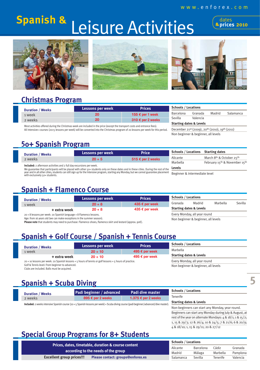## Spanish & Leisure Activities <sup>(addes</sup>

**<u>Prices 2010</u>** 







## **Christmas Program**

| <b>Duration / Weeks</b> | Lessons per week | <b>Prices</b>     |
|-------------------------|------------------|-------------------|
| 1 week                  | 20               | 155 € per 1 week  |
| 2 weeks                 | 20               | 310 € per 2 weeks |

Most activities offered during the Christmas week are included in the price (except the transport costs and entrance fees). All Intensive+ courses (20+5 lessons per week) will be converted into the Christmas program of 20 lessons per week for this period.

| <b>Starting dates &amp; Levels</b>                                     |  |  |  |
|------------------------------------------------------------------------|--|--|--|
| December 21st (2009), 20 <sup>th</sup> (2010), 19 <sup>th</sup> (2011) |  |  |  |
| Non beginner & beginner, all levels                                    |  |  |  |

Barcelona Granada Madrid Salamanca

## **50+ Spanish Program**

| <b>Duration / Weeks</b>                                                  | Lessons per week | Price             | <b>Schools / Locations Starting dates</b> |                   |
|--------------------------------------------------------------------------|------------------|-------------------|-------------------------------------------|-------------------|
| 2 weeks                                                                  | $20 + 5$         | 515 € per 2 weeks | Alicante                                  | March 8th & Octo  |
|                                                                          |                  |                   | Marbella                                  | February 15th & I |
| the ducked can flame are as thirties and a full day availance as usually |                  |                   |                                           |                   |

**cluded:** 2 afternoon activities and 2 full day excursions per weel

year and in all other cities, students can still sign up for the Intensive program, starting any Monday, but we cannot guarantee placement Beginner & intermediate level<br>with exclusively constructed We guarantee that participants will be placed with other 50+ students only on these dates and in these cities. During the rest of the with exclusively 50+ students.

| <b>Schools / Locations</b> Starting dates |                               |
|-------------------------------------------|-------------------------------|
| Alicante                                  | March 8th & October 25th      |
| Marbella                                  | February 15th & November 15th |
| Levels                                    |                               |
|                                           |                               |

**Schools / Locations**

Sevilla Valencia

## **Spanish + Flamenco Course**

| <b>Duration / Weeks</b>                                               | <b>Prices</b><br>Lessons per week |                |                              | <b>Schools / Locations</b>          |          |         |
|-----------------------------------------------------------------------|-----------------------------------|----------------|------------------------------|-------------------------------------|----------|---------|
| 1 week                                                                | $20 + 8$                          | 435 € per week | Granada                      | Madrid                              | Marbella | Sevilla |
| + extra week                                                          | $20 + 8$                          | 435 € per week |                              | <b>Starting dates &amp; Levels</b>  |          |         |
| 20 + 8 lessons per week: 20 Spanish language + 8 Flamenco lessons.    |                                   |                | Every Monday, all year round |                                     |          |         |
| Age: from 16 years old (we can make exceptions in the summer season). |                                   |                |                              | Non beginner & beginner, all levels |          |         |

Please note that students may need to purchase: Flamenco shoes, flamenco skirt and leotard (approx. 90€).

## **Spanish + Golf Course / Spanish + Tennis Course**

|                                                                                                                                   | <b>Lessons per week</b> | <b>Prices</b>                | <b>Schools / Locations</b>          |
|-----------------------------------------------------------------------------------------------------------------------------------|-------------------------|------------------------------|-------------------------------------|
| <b>Duration / Weeks</b><br>1 week                                                                                                 | $20 + 10$               | 495 € per week               | Marbella                            |
| + extra week                                                                                                                      | $20 + 10$               | 495 € per week               | <b>Starting dates &amp; Levels</b>  |
| $20 + 10$ lessons per week: 20 Spanish lessons + $\frac{1}{5}$ hours of tennis or golf lessons + $\frac{1}{5}$ hours of practice. |                         | Every Monday, all year round |                                     |
| Golf & Tennis level: From beginner to advanced.<br>Clubs are included. Balls must be acquired.                                    |                         |                              | Non beginner & beginner, all levels |

## **Spanish + Scuba Diving**

| <b>Duration / Weeks</b>                                                                                                                  | Padi beginner / advanced | Padi dive master    | <b>Schools / Locations</b>                      |
|------------------------------------------------------------------------------------------------------------------------------------------|--------------------------|---------------------|-------------------------------------------------|
| 2 weeks                                                                                                                                  | 895 € per 2 weeks        | 1.375 € per 2 weeks | Tenerife                                        |
| Included: 2 weeks intensive Spanish course (20 + 5 Spanish lessons per week) + Scuba diving course (padi beginner/advanced/dive master). |                          |                     | <b>Starting dates &amp; Levels</b>              |
|                                                                                                                                          |                          |                     | Non-beginners can start any Monday, year round. |

Non-beginners can start any Monday, year round. Beginners can start any Monday during July & August, at rest of the year on alternate Mondays:  $4 & 18/1$ ;  $1 & 16/2$ ; 1, 15 & 29/3; 12 & 26/4; 10 & 24/5; 7 & 21/6; 6 & 20/9; 4 & 18/10; 1, 15 & 29/11; 20 & 27/12

**5**

## **Special Group Programs for 8+ Students**

| Prices, dates, timetable, duration & course content<br>according to the needs of the group |                                   | <b>Schools / Locations</b> |           |          |          |
|--------------------------------------------------------------------------------------------|-----------------------------------|----------------------------|-----------|----------|----------|
|                                                                                            |                                   | Alicante                   | Barcelona | Cádiz    | Granada  |
|                                                                                            |                                   | Madrid                     | Málaga    | Marbella | Pamplona |
| <b>Excellent group prices!!!</b>                                                           | Please contact: groups@enforex.es | Salamanca                  | Sevilla   | Tenerife | Valencia |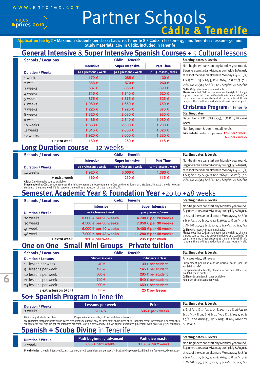**2010 prices**

dates

## Partner Schools **Tenerife**

**Application fee 65€** • Maximum students per class: Cádiz 10, Tenerife 8 • Cádiz: 1 lesson= 45 min. Tenerife: 1 lesson= 50 min. Study materials: 20€ in Cádiz, included in Tenerife

#### **General Intensive** & **Super Intensive Spanish Courses** + 5 Cultural lessons **Starting dates & Levels**

| <b>Schools / Locations</b> |                         | <b>Cádiz</b><br><b>Tenerife</b> |                         |  |
|----------------------------|-------------------------|---------------------------------|-------------------------|--|
|                            | <b>Intensive</b>        | <b>Super Intensive</b>          | <b>Part Time</b>        |  |
| <b>Duration / Weeks</b>    | $20 + 5$ lessons / week | $30 + 5$ lessons / week         | $10 + 5$ lessons / week |  |
| 1 week                     | 179€                    | 285€                            | 130€                    |  |
| 2 weeks                    | 358€                    | 570€                            | 260€                    |  |
| 3 weeks                    | 537€                    | 855€                            | 390€                    |  |
| 4 weeks                    | 716€                    | 1.140 €                         | 520€                    |  |
| 5 weeks                    | 875€                    | 1.375 €                         | 625€                    |  |
| 6 weeks                    | 1.050 €                 | 1.650€                          | 750€                    |  |
| 7 weeks                    | 1.225€                  | 1.925€                          | 875€                    |  |
| 8 weeks                    | 1.320€                  | 2.080 €                         | 960€                    |  |
| 9 weeks                    | 1.485€                  | 2.340 €                         | 1.080€                  |  |
| 10 weeks                   | 1.650€                  | $2.600 \in$                     | 1.200€                  |  |
| 11 weeks                   | 1.815€                  | $2.860 \in$                     | 1.320 €                 |  |
| 12 weeks                   | 1.920€                  | 3,000 €                         | 1.380 €                 |  |
| + extra week               | 160€                    | 250€                            | 115€                    |  |

#### **Cádiz:** Only Intensive course available. Non-beginners can start any Monday, year round. Beginners can start any Monday during July & August, at rest of the year on alternate Mondays: 4 & 18/1; 1 & 15/2; 1, 15 & 29/3; 12 & 26/4; 10 & 24/5; 7 & 21/6; 6 & 20/9; 4 & 18/10; 1, 15 & 29/11; 20 & 27/12

**Please note** that Cádiz school reserves the right to change a group course into One on One tuition (1 or 2 students) in case there is no other student at the same level. If this happens there will be a reduction of class hours of 50%.

#### **Christmas Program**in Tenerife **Starting dates**

December 21st & 28th (2009), 20th & 27th (2010) **Level**

Non beginner & beginner, all levels

**Price includes:** 20 lessons per week: **179€ per 1 week 358€ per 2 weeks**

#### **Long Duration course** + 12 weeks

| <b>Schools / Locations</b> |                         | Cádiz<br><b>Tenerife</b> |                         | Sta        |
|----------------------------|-------------------------|--------------------------|-------------------------|------------|
|                            | <b>Intensive</b>        | <b>Super Intensive</b>   | <b>Part Time</b>        | <b>No</b>  |
| <b>Duration / Weeks</b>    | $20 + 5$ lessons / week | $30 + 5$ lessons / week  | $10 + 5$ lessons / week | Beg        |
| 12 weeks                   | 1.920€                  | 3,000 €                  | 1.380 €                 | at r<br>18 |
| + extra week               | 160 €                   | 250€                     | 115€                    | 21         |

**Starting dates & Levels**

n-beginners can start any Monday, year round. Beginners can start any Monday during July & August, est of the year on alternate Mondays: 4 & 18/1; 1 & 15/2; 1, 15 & 29/3; 12 & 26/4; 10 & 24/5; 7 & 21/6; 6 & 20/9; 4 & 18/10; 1, 15 & 29/11; 20 & 27/12

happens there will be a reduction of class hours of 50%.

**Cádiz:** Only Intensive course available.

Please note that Cádiz school reserves the right to change a group course into One on One tuition (1 or 2 students) in case there is no other student at the same level. If this happens there will be a reduction of class hours of 50%.

#### **Semester, Academic Year** & **Foundation Year** +20 to +48 weeks

| <b>Schools / Locations</b> | Tenerife<br>Cádiz             |                               | <b>Starting dates &amp; Levels</b>                                                                                        |  |
|----------------------------|-------------------------------|-------------------------------|---------------------------------------------------------------------------------------------------------------------------|--|
|                            | <b>Intensive</b>              | <b>Super Intensive</b>        | Non-beginners can start any Monday, year round.                                                                           |  |
| <b>Duration / Weeks</b>    | $20 + 5$ lessons / week       | $30 + 5$ lessons / week       | Beginners can start any Monday during July & August,                                                                      |  |
| 20 weeks                   | 3.000 € per 20 weeks          | 4.700 € per 20 weeks          | at rest of the year on alternate Mondays: 4 & 18/1;                                                                       |  |
| 30 weeks                   | 4.500 € per 30 weeks          | 7.050 € per 30 weeks          | 1 & 15/2; 1, 15 & 29/3; 12 & 26/4; 10 & 24/5; 7 &<br>21/6; 6 & 20/9; 4 & 18/10; 1, 15 & 29/11; 20 & 27/12                 |  |
| 40 weeks                   | 6.000 $\epsilon$ per 40 weeks | 9.400 $\epsilon$ per 40 weeks | Cádiz: Only Intensive course available.                                                                                   |  |
| 48 weeks                   | 7.200 € per 48 weeks          | 11.280 € per 48 weeks         | Please note that Cádiz school reserves the right to change<br>a group course into One on One tuition (1 or 2 students) in |  |
| + extra week               | 150 $\epsilon$ per week       | 235 € per week                | case there is no other student at the same level. If this                                                                 |  |

#### **One on One** - **Small Mini Groups** - **Private tuition + extra week**

| <b>Schools / Locations</b> | <b>Cádiz</b>       | <b>Tenerife</b>            | <b>Starting dates &amp; Levels</b>                                        |
|----------------------------|--------------------|----------------------------|---------------------------------------------------------------------------|
| <b>Duration / Lessons</b>  | 1 Student in class | 2 Students in class        | Any weekday, all levels                                                   |
| 1 lesson per week          | 40€                | 30 € per student           | Supplement per class outside normal hours (ask for<br>availability): 18€. |
| 5 lessons per week         | 195€               | 145 € per student          | For specialized subjects, please ask our Head Office for                  |
| 10 lessons per week        | 380€               | 285 € per student          | availability and quotes.<br>Cádiz: only 1 student in class available.     |
| 20 lessons per week        | 740€               | 540 $\epsilon$ per student | Minimum of 10 lessons per week.                                           |
| 25 lessons per week        | 900 $\epsilon$     | 650 € per student          |                                                                           |
| $1$ extra lesson $(+25)$   | 35€                | 25 € per lesson            |                                                                           |

## **50+ Spanish Program** in Tenerife

| <b>Duration / Weeks</b>       | Lessons per week                                                                                                                                                                                                    | <b>Price</b>                                                                                | <b>Starting dates &amp; Levels</b>              |
|-------------------------------|---------------------------------------------------------------------------------------------------------------------------------------------------------------------------------------------------------------------|---------------------------------------------------------------------------------------------|-------------------------------------------------|
| 2 weeks                       | $20 + 5$                                                                                                                                                                                                            | 595 € per 2 weeks                                                                           | 4 & 18/1; 1 & 15/2; 1, 15 & 29/3; 12 & 26/4; 10 |
| Minimum 3 students per class. | Program includes visits, cultural and dance lessons.<br>ation and that participants will be placed with other roughted only on these dates and in these sities. During the rost of the year and in all other sities | & 24/5; 7 & 21/6; 6 & 20/9; 4 & 18/10; 1, 15 &<br>29/11 and during July & August any Monday |                                                 |

We guarantee that participants will be placed with other 50+ students only on these dates and in these cities. During the rest of the students can still sign up for the intensive program, starting any Monday, but we cannot guarantee placement w

#### **Spanish + Scuba Diving** in Tenerife

| $\mu$ are year and in all other clues, $\mu$ |  |
|----------------------------------------------|--|
| ith exclusively 50+ students. All levels     |  |
|                                              |  |
|                                              |  |
|                                              |  |

| <b>Duration / Weeks</b> | Padi beginner / advanced | Padi dive master    | <b>Starting dates &amp; Levels</b> |  |
|-------------------------|--------------------------|---------------------|------------------------------------|--|
| 2 weeks                 | 895 € per 2 weeks        | 1.375 € per 2 weeks | Non-beginners can start any Mon    |  |
|                         |                          |                     | Beginners can start any Monday dur |  |

**Price includes:** 2 weeks intensive Spanish course (20 + 5 Spanish lessons per week) + Scuba diving course (padi beginner/advanced/dive master).

day, year round. ing July & August, at rest of the year on alternate Mondays: 4 & 18/1; 1 & 15/2; 1, 15 & 29/3; 12 & 26/4; 10 & 24/5; 7 & 21/6; 6 & 20/9; 4 & 18/10; 1, 15 & 29/11; 20 & 27/12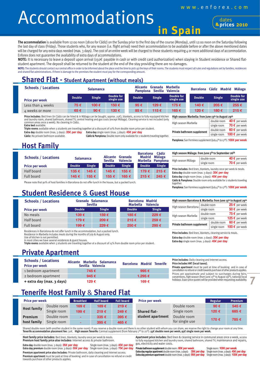**in Spain**

## **Accommodations**



**The accommodation** is available from 12:00 noon (18:00 for Cádiz) on the Sunday prior to the first day of the course (Monday), until 12:00 noon on the Saturday following the last day of class (Friday). Those students who, for any reason (i.e. flight arrival) need their accommodation to be available before or after the above mentioned dates will be charged for any extra days needed (max. 3 days). The cost of an entire week will be charged to those students requiring 4 or more additional days of accommodation. Enforex does not guarantee the availability of extra days of accommodations.

**NOTE:** It is necessary to leave a deposit upon arrival (150€ payable in cash or with credit card authorization) when staying in Student residence or Shared flatstudent apartment. The deposit shall be returned to the student at the end of the stay providing there are no damages.

NOTE: The students should contact our central office in order to be informed about the place and the time to pick up the keys of their rooms. The students must respect all rules and regulations set by families, residences and shared flat administrations. If there is damage to the premises the student must pay for the corresponding amount.

#### **Shared Flat - Student Apartment (without meals)**

| <b>Schools / Locations</b> |               | <b>Salamanca</b> |                                 | <b>Alicante</b><br><b>Pamplona</b> | Granada<br>Sevilla | Marbella<br><b>Valencia</b> | <b>Barcelona</b> | Cádiz Madrid  | Málaga                   |
|----------------------------|---------------|------------------|---------------------------------|------------------------------------|--------------------|-----------------------------|------------------|---------------|--------------------------|
| <b>Price per week</b>      | <b>Double</b> | <b>Single</b>    | <b>Double for</b><br>single use | <b>Double</b>                      | <b>Single</b>      | Double for<br>single use    | Double           | <b>Single</b> | Double for<br>single use |
| Less than 4 weeks          | 75€           | 100€             | 150€                            | 95€                                | 129€               | 175€                        | 140 €            | 205€          | 255€                     |
| 4 weeks or more            | 65€           | 90 $\epsilon$    | 130€                            | 85€                                | 115€               | 165€                        | 120€             | 180€          | 215€                     |

**Price includes:** Bed linen (in Cádiz can be hired & in Málaga can be bought, approx. 25€), blankets, access to fully equipped kitchen<br>and laundry room, shared bathroom, shared TV, central heating and gas costs (except Má common areas once a week). No cleaning in Cádiz.

**Extra bed** available. **Triple rooms** available when 3 students are traveling together at a discount of 10% from double room price per student.

**Extra day** double room (max. 3 days): **35€ per day Extra day** single room (max. 3 days): **45€ per day**

**Cádiz & Pamplona:** Double room only available for 2 students traveling together.

| High season Marbella: from June 13th to August 29th |             |                        |  |  |  |
|-----------------------------------------------------|-------------|------------------------|--|--|--|
| High season Marbella                                | double room | 40 $\epsilon$ per week |  |  |  |
|                                                     | single room | 70 $\epsilon$ per week |  |  |  |
| Private bathroom supplement                         | double room | 60 $\epsilon$ per week |  |  |  |
|                                                     | single room | 100 € per week         |  |  |  |

**Pamplona:** San Fermines supplement (July 4th to 17th): **100€ per week**

**Extra day** single room (max. 3 days): **45€ per day**

**Pamplona:** San Fermines supplement (July 4th to 17th): **100€ per week**

**High season Málaga: from June 5th to September 26th**

together.

**High season Barcelona & Marbella: from June 13th to August 29th** High season Barcelona double room **25 €** per week<br>single room 50 € per week

**High season Marbella** double room **75 €** per week

**Private bathroom supplement**  $\frac{double room}{single room}$  **60** € per week

**Price includes:** Bed linen, blankets, cleaning service & meals. **Extra day** double room (max. 3 days): **35€ per day Extra day** single room (max. 3 days): **45€ per day**

### **Host Family**

|                            | <b>Salamanca</b> |               |                                                                 |                                  | Cádiz<br><b>Barcelona</b> |                    | High season Málaga: from June 5th to September 26th                   |                                                                                                                                          |                        |  |
|----------------------------|------------------|---------------|-----------------------------------------------------------------|----------------------------------|---------------------------|--------------------|-----------------------------------------------------------------------|------------------------------------------------------------------------------------------------------------------------------------------|------------------------|--|
| <b>Schools / Locations</b> |                  |               | Granada<br><b>Alicante</b><br><b>Sevilla</b><br><b>Valencia</b> | <b>Madrid</b><br><b>Marbella</b> | Málaga<br><b>Pamplona</b> | High season Málaga | double room                                                           | 40 $\epsilon$ per week                                                                                                                   |                        |  |
|                            |                  |               |                                                                 |                                  |                           |                    |                                                                       | single room                                                                                                                              | 70 $\epsilon$ per week |  |
| <b>Price per week</b>      | <b>Double</b>    | <b>Single</b> | Double                                                          | <b>Single</b>                    | <b>Double</b>             | <b>Single</b>      |                                                                       | Price includes: Bed linen, blankets, laundry once per week & meals.<br><b>Extra day</b> double room (max. 3 days): $35 \epsilon$ per day |                        |  |
| Half board                 | 135 €            | 145 €         | 145€                                                            | 155€                             | 179€                      | 215€               |                                                                       |                                                                                                                                          |                        |  |
| Full board                 | 145 €            | 155€          | 155 €                                                           | 165 €                            | 215 €                     | 245€               | Extra day single room (max. 3 days): 45€ per day                      |                                                                                                                                          |                        |  |
|                            |                  |               |                                                                 |                                  |                           |                    | Cádiz & Pamplona: Double room only available for 2 students traveling |                                                                                                                                          |                        |  |

Please note that 90% of host families in Barcelona do not offer lunch in the house, but a packed lunch.

### **Student Residence** & **Guest House**

| <b>Schools / Locations</b> | Granada Salamanca<br><b>Sevilla</b> |               | <b>Barcelona Madrid</b><br><b>Marbella</b><br><b>Valencia</b> |               |  |
|----------------------------|-------------------------------------|---------------|---------------------------------------------------------------|---------------|--|
| <b>Price per week</b>      | <b>Double</b>                       | <b>Single</b> | <b>Double</b>                                                 | <b>Single</b> |  |
| No meals                   | 139€                                | 159€          | 185€                                                          | 229€          |  |
| Half board                 | 179€                                | 209€          | 215€                                                          | 259€          |  |
| Full board                 | 199€                                | 229€          | 250€                                                          | 295€          |  |

Residences in Barcelona do not offer lunch in the accommodation, but a packed lunch. Residence in Marbella includes meals during the months of July & August only.

Use of kitchen is not permitted.

In most cities we have several residences & guest houses. **Triple rooms** available when 3 students are traveling together at a discount of 15% from double room price per student.

#### **Private Apartment**

| <b>Schools / Locations</b><br><b>Price per week</b> | Alicante Marbella Salamanca<br>Sevilla Valencia | <b>Barcelona Madrid Tenerife</b> |
|-----------------------------------------------------|-------------------------------------------------|----------------------------------|
| 1 bedroom apartment                                 | 745 €                                           | 995 $\epsilon$                   |
| 2 bedroom apartment                                 | 945 $\epsilon$                                  | 1.295 €                          |
| + extra day (max. 3 days)                           | 129€                                            | 169€                             |

### **Tenerife Host Family** & **Shared Flat**

| <b>Price per week</b> |             | <b>Breakfast</b> | <b>Half board</b> | <b>Full board</b> | <b>Price per week</b>                    |                | Regular | <b>Premium</b> |
|-----------------------|-------------|------------------|-------------------|-------------------|------------------------------------------|----------------|---------|----------------|
| <b>Host family</b>    | Double room | 169 €            | 189€              | 219€              |                                          | Double room    | 90€     | 545€           |
|                       | Single room | 199 €            | 219€              | 249€              | <b>Shared flat-</b><br>student apartment | Single room    | 120€    | 685€           |
| <b>Premium</b>        | Double room | w.               | 335€              | 395€              |                                          | Double room    |         |                |
| host family           | Single room | $\equiv$         | 395€              | 465€              |                                          | for single use | 170€    | 785€           |

Shared double room (with another student in the same room): If you reserve a double room and there is no other student with whom you can share, we reserve the right to change your room at any time.<br>**Tenerife accommodation** 

**Host family price includes:** Bed linen, blankets, laundry once per week & meals. **Premium host family price also includes:** Internet access & private bathroom.

**Premium apartment price also includes:** Private bathroom, daily cleaning and Internet access. **Extra day** double room (max. 3 days): **35€ per day** Single room (max. 3 days): **45€ per day** Extra day premium double room (max. 3 days): 55 $\epsilon$  per day Single room (max. 3 days): 75 $\epsilon$  per day

Premium apartment price also includes: Private Datifiourii, daily clearing and interfer access.<br>Premium apartment must be paid at time of booking and in case of cancellation no refund or credit Extra day premium apartment towards purchase of other products applies.

**Apartment price includes:** Bed linen & cleaning service in communal areas once a week, access to fully equipped kitchen and laundry room, shared bathroom, shared TV, maintenance and repairs, gas, electricity and water costs.

**Extra day regular apartment** double room (max. 3 days): **35€ per day** Single room (max. 3 days): **45€ per day**

**Price includes:** Daily cleaning and Internet access. **Price includes VAT (local taxes).**

**Private apartment** must be paid at time of booking and in case of cancellation no refund or credit towards purchase of other products applies. Prices are approximate and subject to surcharges during fairs, conventions, high season (from June 13<sup>th</sup> to August 29<sup>th</sup>), national/local<br>holidays. Exact price quotes will be provided when requesting availability.

**7**

**50 €** per week

**125 €** per week

**100 €** per week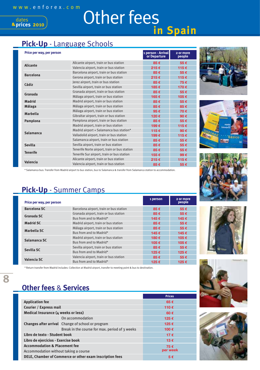**2010**

dates **prices**

## Other fees **in Spain**

## **Pick-Up** - Language Schools

| Price per way, per person |                                              | 1 person - Arrival<br>or Departure | 2 or more<br>people |
|---------------------------|----------------------------------------------|------------------------------------|---------------------|
| <b>Alicante</b>           | Alicante airport, train or bus station       | 85€                                | 55€                 |
|                           | Valencia airport, train or bus station       | 215€                               | 115€                |
|                           | Barcelona airport, train or bus station      | 85€                                | 55€                 |
| <b>Barcelona</b>          | Gerona airport, train or bus station         | 215€                               | 115€                |
|                           | Jerez airport, train or bus station          | 85€                                | 75€                 |
| Cádiz                     | Sevilla airport, train or bus station        | 185€                               | 170€                |
|                           | Granada airport, train or bus station        | 85€                                | 55€                 |
| Granada                   | Málaga airport, train or bus station         | 165€                               | 105€                |
| <b>Madrid</b>             | Madrid airport, train or bus station         | 85€                                | 55€                 |
| Málaga                    | Málaga airport, train or bus station         | 85€                                | 85€                 |
|                           | Málaga airport, train or bus station         | 95€                                | 70€                 |
| <b>Marbella</b>           | Gibraltar airport, train or bus station      | 120€                               | 90€                 |
| Pamplona                  | Pamplona airport, train or bus station       | 85€                                | 55€                 |
|                           | Madrid airport, train or bus station         | 199€                               | 115€                |
|                           | Madrid airport + Salamanca bus station*      | 115€                               | 90€                 |
| Salamanca                 | Valladolid airport, train or bus station     | 199€                               | 115€                |
|                           | Salamanca airport, train or bus station      | 85€                                | 55€                 |
| <b>Sevilla</b>            | Sevilla airport, train or bus station        | 85€                                | 55€                 |
|                           | Tenerife Norte airport, train or bus station | 85€                                | 55€                 |
| <b>Tenerife</b>           | Tenerife Sur airport, train or bus station   | 155€                               | 99€                 |
|                           | Alicante airport, train or bus station       | 215€                               | 115€                |
| Valencia                  | Valencia airport, train or bus station       | 85€                                | 55€                 |

\* Salamanca bus: Transfer from Madrid airport to bus station, bus to Salamanca & transfer from Salamanca station to accommodation.

## **Pick-Up** - Summer Camps

| Price per way, per person |                                         | 1 person | 2 or more<br>people |
|---------------------------|-----------------------------------------|----------|---------------------|
| <b>Barcelona SC</b>       | Barcelona airport, train or bus station | 85€      | 55€                 |
| Granada SC                | Granada airport, train or bus station   | 85€      | 55€                 |
|                           | Bus from and to Madrid*                 | 145€     | 145€                |
| <b>Madrid SC</b>          | Madrid airport, train or bus station    | 85€      | 55€                 |
| Marbella SC               | Málaga airport, train or bus station    | 85€      | 55€                 |
|                           | Bus from and to Madrid*                 | 145€     | 145€                |
| Salamanca SC              | Madrid airport, train or bus station    | 180€     | 105€                |
|                           | Bus from and to Madrid*                 | 105€     | 105€                |
|                           | Sevilla airport, train or bus station   | 85€      | 55€                 |
| Sevilla SC                | Bus from and to Madrid*                 | 125€     | 125€                |
|                           | Valencia airport, train or bus station  | 85€      | 55€                 |
| <b>Valencia SC</b>        | Bus from and to Madrid*                 | 125€     | 125€                |

\* Return transfer from Madrid includes: Collection at Madrid airport, transfer to meeting point & bus to destination.

## **Other fees** & **Services**

**8**

|                                                          |                                                          | <b>Prices</b> |
|----------------------------------------------------------|----------------------------------------------------------|---------------|
| <b>Application fee</b>                                   | 65€                                                      |               |
| Courier / Express mail                                   |                                                          | 110€          |
| Medical Insurance (4 weeks or less)                      | 60 $\epsilon$                                            |               |
|                                                          | On accommodation                                         | 125€          |
|                                                          | <b>Changes after arrival</b> Change of school or program | 125€          |
|                                                          | Break in the course for max. period of 3 weeks           | 100€          |
| Libro de texto - Student book                            |                                                          | 17€           |
| Libro de ejercicios - Exercise book                      | 13€                                                      |               |
| <b>Accommodation &amp; Placement fee</b>                 | 75€                                                      |               |
| Accommodation without taking a course                    | per week                                                 |               |
| DELE, Chamber of Commerce or other exam inscription fees | 5€                                                       |               |











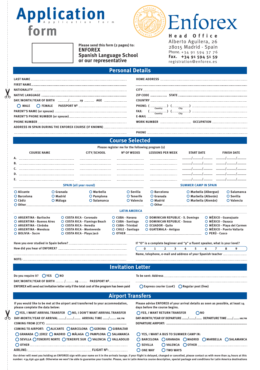## Application  **form**



#### **Please send this form (2 pages) to: ENFOREX Spanish Language School or our representative**

**Head Office** Alberto Aguilera, 26 28015 Madrid - Spain Phone. +34 91 594 37 76 **Fax. +34 91 594 51 59** registration@enforex.es

#### **Personal Details**

| $\begin{tabular}{ll} \bf{PHONE:} \end{tabular} \begin{tabular}{ll} \bf{FHONE:} \end{tabular} \begin{tabular}{ll} \hline \multicolumn{2}{l}{\textbf{Cutry}} & \multicolumn{2}{l}{\textbf{Cutry}} \\ \hline \multicolumn{2}{l}{\textbf{FAX:} & \begin{tabular}{l}{\textbf{Cunutry}} \\ \hline \multicolumn{2}{l}{\textbf{Cutry}} \\ \hline \end{tabular} \end{tabular} \begin{tabular}{ll} \multicolumn{2}{l}{\textbf{Cutry}} \\ \hline \multicolumn{2}{l}{\textbf{Cutry}} \\ \hline \end{tabular$ |
|--------------------------------------------------------------------------------------------------------------------------------------------------------------------------------------------------------------------------------------------------------------------------------------------------------------------------------------------------------------------------------------------------------------------------------------------------------------------------------------------------|
|                                                                                                                                                                                                                                                                                                                                                                                                                                                                                                  |
|                                                                                                                                                                                                                                                                                                                                                                                                                                                                                                  |
|                                                                                                                                                                                                                                                                                                                                                                                                                                                                                                  |
| <b>PHONF</b>                                                                                                                                                                                                                                                                                                                                                                                                                                                                                     |

#### **Course Selected**

|                                                                                               |          |                                                        |                                           | Please register me for the following program (s) |                                            |                                                                   |                                                                             |                        |                                                                             |                             |   |                                              |           |                                                             |
|-----------------------------------------------------------------------------------------------|----------|--------------------------------------------------------|-------------------------------------------|--------------------------------------------------|--------------------------------------------|-------------------------------------------------------------------|-----------------------------------------------------------------------------|------------------------|-----------------------------------------------------------------------------|-----------------------------|---|----------------------------------------------|-----------|-------------------------------------------------------------|
| CITY/SCHOOL<br><b>COURSE NAME</b>                                                             |          |                                                        | <b>Nº OF WEEKS</b>                        |                                                  | <b>LESSONS PER WEEK</b>                    |                                                                   |                                                                             |                        | <b>START DATE</b>                                                           |                             |   | <b>FINISH DATE</b>                           |           |                                                             |
| А.                                                                                            |          |                                                        |                                           |                                                  |                                            |                                                                   |                                                                             |                        |                                                                             |                             |   |                                              |           |                                                             |
|                                                                                               |          |                                                        |                                           |                                                  |                                            |                                                                   |                                                                             |                        |                                                                             |                             |   |                                              |           |                                                             |
|                                                                                               |          |                                                        |                                           |                                                  |                                            |                                                                   |                                                                             |                        |                                                                             |                             |   |                                              |           |                                                             |
|                                                                                               |          |                                                        |                                           |                                                  |                                            |                                                                   |                                                                             |                        |                                                                             |                             |   |                                              |           |                                                             |
| Е.                                                                                            |          |                                                        |                                           |                                                  |                                            |                                                                   |                                                                             |                        |                                                                             |                             |   |                                              |           |                                                             |
|                                                                                               |          | <b>SPAIN (all year round)</b>                          |                                           |                                                  |                                            |                                                                   |                                                                             |                        |                                                                             | <b>SUMMER CAMP IN SPAIN</b> |   |                                              |           |                                                             |
| O Alicante<br>$O$ Granada                                                                     |          | O Marbella                                             | O Sevilla                                 | O Barcelona                                      |                                            |                                                                   | $O$ Marbella (Albergue)                                                     |                        |                                                                             |                             |   | $O$ Salamanca                                |           |                                                             |
| O Barcelona                                                                                   | O Madrid |                                                        | $O$ Pamplona                              | O Tenerife                                       | $O$ Granada                                |                                                                   |                                                                             | $O$ Marbella (Alborán) |                                                                             |                             |   |                                              | O Sevilla |                                                             |
| O Cádiz<br>$O$ Other                                                                          |          | O Málaga                                               | O Salamanca                               | O Valencia                                       |                                            | O Madrid                                                          |                                                                             |                        |                                                                             | O Marbella (Alemán)         |   |                                              |           | O Valencia                                                  |
|                                                                                               |          |                                                        |                                           | <b>LATIN AMERICA</b>                             |                                            |                                                                   |                                                                             |                        |                                                                             |                             |   |                                              |           |                                                             |
| O ARGENTINA - Bariloche<br>O COSTA RICA - Coronado<br>O ARGENTINA - Buenos Aires              |          | ○ COSTA RICA - Flamingo Beach                          | $O$ CUBA - Havana<br>○ CUBA - Santiago    |                                                  |                                            | O DOMINICAN REPUBLIC - S. Domingo<br>O DOMINICAN REPUBLIC - Sosua |                                                                             |                        |                                                                             |                             |   | $O$ MÉXICO - Guanajuato<br>O MÉXICO - Oaxaca |           |                                                             |
| O ARGENTINA - Córdoba<br>O COSTA RICA - Heredia<br>O ARGENTINA - Mendoza<br>O BOLIVIA - Sucre |          | O COSTA RICA - Monteverde<br>O COSTA RICA - Playa Jacó | $O$ CUBA - Trinidad<br>O CHILE - Santiago |                                                  | O ECUADOR - Ouito<br>O GUATEMALA - Antigua |                                                                   |                                                                             |                        | O MÉXICO - Playa del Carmen<br>O MÉXICO - Puerto Vallarta<br>O PERÚ - Cusco |                             |   |                                              |           |                                                             |
|                                                                                               |          |                                                        |                                           |                                                  |                                            |                                                                   | If "O" is a complete beginner and "9" a fluent speaker, what is your level? |                        |                                                                             |                             |   |                                              |           |                                                             |
|                                                                                               |          |                                                        |                                           |                                                  | $\bf{0}$                                   | $\mathbf{1}$                                                      | $\overline{2}$                                                              | 3                      | 4                                                                           | 5.                          | 6 | 7                                            | 8         | 9                                                           |
|                                                                                               |          |                                                        |                                           |                                                  |                                            |                                                                   |                                                                             |                        |                                                                             |                             |   |                                              |           | Name, telephone, e-mail and address of your Spanish teacher |

**Invitation Letter**

**Do you require it? YES NO** DAY/MONTH/YEAR OF BIRTH ........./.......... 19.......... PASSPORT Nº.......................

**ENFOREX will send out invitation letter only if the total cost of the program has been paid**

**NOTE:**

**To be sent: Address**

 **Express courier (110€) Regular post (free)**

| <b>Airport Transfers</b>                                                                                             |                                                                                                                  |  |  |  |
|----------------------------------------------------------------------------------------------------------------------|------------------------------------------------------------------------------------------------------------------|--|--|--|
| If you would like to be met at the airport and transferred to your accommodation,<br>please complete the data below: | Please advise ENFOREX of your arrival details as soon as possible, at least 14<br>days before the course begins. |  |  |  |
| ◯YES, I WANT ARRIVAL TRANSFER ◯ NO, I DON'T WANT ARRIVAL TRANSFER                                                    | ◯ YES, I WANT RETURN TRANSFER<br>$\bigcap \mathsf{NO}$                                                           |  |  |  |
| DAY-MONTH/YEAR OF ARRIVAL // ARRIVAL TIME / AM/PM                                                                    | DAY-MONTH/YEAR OF DEPARTURE // DEPARTURE TIME / AM/PM                                                            |  |  |  |
|                                                                                                                      |                                                                                                                  |  |  |  |
| COMING TO AIRPORT: CALICANTE CBARCELONA CGERONA CGIBRALTAR                                                           |                                                                                                                  |  |  |  |
| ○ GRANADA ○ JEREZ ○ MADRID ○ MÁLAGA ○ PAMPLONA ○ SALAMANCA                                                           | THE YES, I WANT A BUS TO SUMMER CAMP IN:                                                                         |  |  |  |
| ○ SEVILLA ○ TENERIFE NORTE ○ TENERIFE SUR ○ VALENCIA ○ VALLADOLID                                                    | O BARCELONA O GRANADA O MADRID O MARBELLA O SALAMANCA                                                            |  |  |  |
|                                                                                                                      | $\bigcap$ SEVILLA                                                                                                |  |  |  |
|                                                                                                                      | O TWO WAYS<br>$\bigcirc$ one way                                                                                 |  |  |  |

Our driver will meet you holding an ENFOREX sign with your name on it in the arrivals lounge. If your flight is delayed, changed or cancelled, please contact us with more than 24 hours at this **number: +34 636 450 998. Otherwise we won't be able to guarantee your transfer. Please, see in Latin America course description, special package and conditions for Latin America destinations**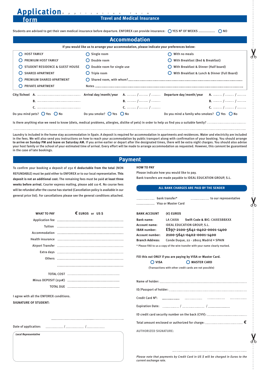**Travel and Medical Insurance Application** Application form

Students are advised to get their own medical insurance before departure. ENFOREX can provide insurance: YES Nº OF WEEKS .................. NO

|                                                | If you would like us to arrange your accommodation, please indicate your preferences below: |                                                               |
|------------------------------------------------|---------------------------------------------------------------------------------------------|---------------------------------------------------------------|
| <b>HOST FAMILY</b><br>∩                        | $\bigcirc$ Single room                                                                      | With no meals                                                 |
| PREMIUM HOST FAMILY                            | $\bigcirc$ Double room                                                                      | With Breakfast (Bed & Breakfast)                              |
| STUDENT RESIDENCE & GUEST HOUSE                | $\bigcirc$ Double room for single use                                                       | With Breakfast & Dinner (Half board)                          |
| <b>SHARED APARTMENT</b>                        | $\bigcirc$ Triple room                                                                      | With Breakfast & Lunch & Dinner (Full Board)                  |
| PREMIUM SHARED APARTMENT                       |                                                                                             |                                                               |
| PRIVATE APARTMENT                              | Notes                                                                                       |                                                               |
|                                                |                                                                                             |                                                               |
| <b>B</b> , …………………………………………                    |                                                                                             |                                                               |
|                                                |                                                                                             |                                                               |
| Do you mind pets? $\bigcirc$ Yes $\bigcirc$ No | Do you smoke? $\bigcirc$ Yes $\bigcirc$ No                                                  | Do you mind a family who smokes? $\bigcirc$ Yes $\bigcirc$ No |

Laundry is included in the home stay accommodation in Spain. A deposit is required for accommodation in apartments and residences. Water and electricity are included in the fees. We will also send you instructions on how to reach your accommodation by public transport along with confirmation of your booking. You should arrange **to arrive on Sunday PM and leave on Saturday AM.** If you arrive earlier or depart after the designated times, there will be extra night charges. You should also advise your host family or the school of your estimated time of arrival. Every effort will be made to arrange accommodation as requested. However, this cannont be guaranteed in the case of late bookings.

#### **Payment**

To confirm your booking a deposit of 250 **€ deductable from the total** (NON REFUNDABLE) must be paid either to ENFOREX or to our local representative. **This deposit is not an additional cost.** The remaining fees must be paid **at least three weeks before arrival.** Courier express mailing, please add 110 **€**. No course fees will be refunded general price lis

 **form**

| <b>HOW TO PAY</b> |  |
|-------------------|--|
|-------------------|--|

Please indicate how you would like to pay.

Bank transfers are made payable to IDEAL EDUCATION GROUP, S.L.

| will be refunded after the course has started (Cancellation policy is available in our                                                                                                                                                                                                                                            | ALL BANK CHARGES ARE PAID BY THE SENDER |                                                                               |                    |                                                                                   |  |  |  |
|-----------------------------------------------------------------------------------------------------------------------------------------------------------------------------------------------------------------------------------------------------------------------------------------------------------------------------------|-----------------------------------------|-------------------------------------------------------------------------------|--------------------|-----------------------------------------------------------------------------------|--|--|--|
| general price list). For cancellations please see the general conditions attached.                                                                                                                                                                                                                                                |                                         | bank transfer*<br>Visa or Master Card                                         |                    |                                                                                   |  |  |  |
| <b>WHAT TO PAY</b>                                                                                                                                                                                                                                                                                                                | € EUROS or USS                          | <b>BANK ACCOUNT</b>                                                           | $(\epsilon)$ EUROS |                                                                                   |  |  |  |
|                                                                                                                                                                                                                                                                                                                                   |                                         | <b>Bank name:</b>                                                             | <b>LA CAIXA</b>    | Swift Code & BIC: CAIXESBBXXX                                                     |  |  |  |
|                                                                                                                                                                                                                                                                                                                                   |                                         | <b>Account name:</b>                                                          |                    | <b>IDEAL EDUCATION GROUP, S.L.</b>                                                |  |  |  |
|                                                                                                                                                                                                                                                                                                                                   |                                         | <b>IBAN</b> number:<br><b>Account number:</b>                                 |                    | ES97-2100-5641-0402-0001-1400<br>2100-5641-0402-0001-1400                         |  |  |  |
|                                                                                                                                                                                                                                                                                                                                   |                                         | <b>Branch Address:</b>                                                        |                    | Conde Duque, 22 - 28015 Madrid . SPAIN                                            |  |  |  |
|                                                                                                                                                                                                                                                                                                                                   |                                         | * Please FAX to us a copy of the wire transfer with your name clearly marked. |                    |                                                                                   |  |  |  |
|                                                                                                                                                                                                                                                                                                                                   |                                         |                                                                               |                    |                                                                                   |  |  |  |
|                                                                                                                                                                                                                                                                                                                                   |                                         |                                                                               |                    | Fill this out ONLY if you are paying by VISA or Master Card.                      |  |  |  |
|                                                                                                                                                                                                                                                                                                                                   |                                         | $O$ VISA                                                                      |                    | O MASTER CARD                                                                     |  |  |  |
|                                                                                                                                                                                                                                                                                                                                   |                                         |                                                                               |                    | (Transactions with other credit cards are not possible)                           |  |  |  |
|                                                                                                                                                                                                                                                                                                                                   |                                         |                                                                               |                    |                                                                                   |  |  |  |
|                                                                                                                                                                                                                                                                                                                                   |                                         |                                                                               |                    |                                                                                   |  |  |  |
|                                                                                                                                                                                                                                                                                                                                   |                                         |                                                                               |                    |                                                                                   |  |  |  |
| I agree with all the ENFOREX conditions.                                                                                                                                                                                                                                                                                          |                                         | Credit Card Nº:                                                               |                    |                                                                                   |  |  |  |
| <b>SIGNATURE OF STUDENT:</b>                                                                                                                                                                                                                                                                                                      |                                         |                                                                               |                    |                                                                                   |  |  |  |
|                                                                                                                                                                                                                                                                                                                                   |                                         |                                                                               |                    |                                                                                   |  |  |  |
|                                                                                                                                                                                                                                                                                                                                   |                                         |                                                                               |                    |                                                                                   |  |  |  |
|                                                                                                                                                                                                                                                                                                                                   |                                         |                                                                               |                    |                                                                                   |  |  |  |
| $\frac{1}{2}$ . $\frac{1}{2}$ . $\frac{1}{2}$ . $\frac{1}{2}$ . $\frac{1}{2}$ . $\frac{1}{2}$ . $\frac{1}{2}$ . $\frac{1}{2}$ . $\frac{1}{2}$ . $\frac{1}{2}$ . $\frac{1}{2}$ . $\frac{1}{2}$ . $\frac{1}{2}$ . $\frac{1}{2}$ . $\frac{1}{2}$ . $\frac{1}{2}$ . $\frac{1}{2}$ . $\frac{1}{2}$ . $\frac{1$<br>Date of application: |                                         | <b>AUTHORIZED SIGNATURE:</b>                                                  |                    |                                                                                   |  |  |  |
| <b>Local Representative</b>                                                                                                                                                                                                                                                                                                       |                                         |                                                                               |                    |                                                                                   |  |  |  |
|                                                                                                                                                                                                                                                                                                                                   |                                         |                                                                               |                    |                                                                                   |  |  |  |
|                                                                                                                                                                                                                                                                                                                                   |                                         |                                                                               |                    |                                                                                   |  |  |  |
|                                                                                                                                                                                                                                                                                                                                   |                                         | current exchange rate.                                                        |                    | Please note that payments by Credit Card in US \$ will be charged in Euros to the |  |  |  |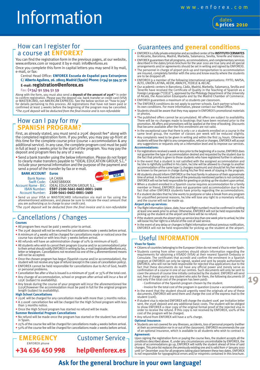## Information



#### How can I register for a course at **ENFOR**

You can find the registration form in the previous pages, at our website, www.enforex.com or request it by e-mail: info@enforex.es Once you complete this form in capital letters you may send it by mail, e-mail, or fax:

#### Central Head Office: **ENFOREX Escuela de Español para Extranjeros C/ Alberto Aguilera, 26. 28015 Madrid (Spain) Phone: (+34) 91 594 37 76**

**E-mail: registration@enforex.es**

#### Fax: **(+34) 91 594 51 59**

Along with the form, you must also send a **deposit of the amount of 250€**\* in order<br>to confirm registration. Please pay the deposit via: bank transfer or credit card (VISA<br>or MASTERCARD, not AMERICAN EXPRESS). See the belo confirmed at least 3 weeks before the beginning of the program may be cancelled. *\*The 250€ deposit will be deducted from the final invoice and is non-refundable*

#### How can I pay for my **SPANISH PROGRAM?**

First, as already stated, you must send a 250€ deposit fee\* along with the completed registration form. If you prefer, you may pay up-front at this time for the complete course price (course + accommodation & any additional service). In any case, the complete program cost must be paid in full at least 3 weeks prior to the start of the program. You may pay the deposit and program fees by any of 2 ways:

• Send a bank transfer using the below information. Please do not forget to clearly make transfers payable to "IDEAL EDUCATION GROUP, S.L." include your personal information and the purpose of the payment and send a proof of the transfer by fax or e-mail.

#### **BANK ACCOUNT Euros**



Bank Name: LA CAIXA

Swift Code: CAIXESBBXXX Account Name - BIC: IDEAL EDUCATION GROUP, S.L. IBAN Number: **ES97-2100-5641-0402-0001-1400** Account Number: **2100-5641-0402-0001-1400**

• Send us your VISA or MASTERCARD information via mail or fax using the aforementioned addresses, and please be sure to indicate the exact amount that you are authorizing us to charge to your credit card.

*\*The 250€ deposit will be deducted from the final invoice and is non-refundable*

### Cancellations / Changes

#### **Courses**

• All program fees must be paid 3 weeks prior to arrival.

- The 250€ deposit will not be returned for cancellations made 3 weeks before arrival. • A minimum of 4 weeks will be charged for cancellations made or noticed once the course has started or with less than 3 weeks before arrival.
- All refunds will have an administration charge of 10% (a minimum of 65€).
- All students who wish to cancel their program (course and/or accommodation) prior to their arrival should notify ENFOREX in writing by fax, e-mail (registration@enforex.es), letter or telegram. Cancellations not received via one of the 4 aforementioned means will not be accepted.
- Once the chosen program has begun (Spanish course and/or accommodation), the student will not receive any type of refund (except in the cases of cancellation policy).
- ENFOREX cannot be held responsible for cancellations due to Act of God, health or personal problems.
- Cancellation fee after a Visa is issued is a minimum of 350 $\epsilon$  or 35% of the total cost. • Any change of accommodation, school or program after arrival will incur a fee of 125€ (subject to availability).
- Any break during the course of your program will incur the aforementioned fee<br>(125€)however the accommodation must be paid in full for the original program<br>length (subject to availability).

#### **High School Cancellations**

ENFOREX phone

- 250€ will be charged for any cancellation made with more than 3 months notice. • A 2.000€ cancellation fee will be charged for the High School program with less
- than 3 months notice. • Once the High School program has started no refund will be made.
- **Summer Residential Program Cancellations**
- No refund will be made once the program has started or the student has arrived in Spain.
- 25% of the course fee will be charged for cancellations made 4 weeks before arrival.
- 50% of the course fee will be charged for cancellations made 2 weeks before arrival.

**+34 636 450 998EMERGENCY** Customer Service **help@enforex.es** Guarantees and **general conditions**

- ENFOREX is a fully private enterprise and accredited center of the **INSTITUTO CERVANTES** in Alicante, Barcelona, Madrid, Marbella, Salamanca, Sevilla, Tenerife and Valencia.
- ENFOREX guarantees that all programs, accommodations, and complementary services described in the dates/prices brochure for the year 2010 are true (any and all special arrangements and/or agreements should be set in writing and signed by ENFOREX).
- The personnel in charge of airport pick-up and transportation to accommodation are insured, completely familiar with the area and know exactly where the students are to be dropped off.
- ENFOREX is a member of the following international organisations: FIYTO, NAFSA, ALTO, UNIÓN LATINA, AEEM, AMACFE, FEDELE & AECAE.
- Our academic centers in Barcelona, Cádiz, Madrid, Marbella, Salamanca, Sevilla and<br>Tenerife have received the Certificate of Quality in the Teaching of Spanish as a<br>Foreign Language ("CEELE"), approved by the Philology D • ENFOREX guarantees a maximum of 10 students per classroom.
- The ENFOREX conditions do not apply to partner schools. Each partner school has its own conditions. For more information, please contact our Head Office.
- Students should be aware that they may appear in ENFOREX's promotional materials or photos.
- The published offers cannot be accumulated. All offers are subject to availability. There will be no changes made to bookings that have been received prior to the<br>promotion. All offers and promotions will be applied at the time of booking. Discounts<br>that became available after the first enrollment are not
- In the exceptional case that there is only 1 or 2 students enrolled on a course in the same level group, the number of classes per week will be reduced slightly.
- Any complaints need to be given in writing and within the first 24 hours. Otherwise students will lose the right to any compensation, refund or changes. ENFOREX will accept any suggestions or requests only on a information level and to improve our services. **Accommodations:**
- For registrations received a week or less prior to the beginning of a course, ENFOREX does not guarantee the type of accommodation desired and requested by the student due to the fact that priority is given to those students who have registered further in advance.
- In the event that a student is not satisfied with the assigned accommodation and<br>he/she is rightfully justified in his claim, he/she will be allowed to change to another<br>accommodation of the same type (3 changes maximum)
- All students should inform ENFOREX or the host family in advance of their approximate time of arrival. In the event that one of the previously mentioned parties is not contacted, ENFOREX will not be held responsible for greeting or picking up the student upon arrival.
- When a student enrolled in a Spanish course requires accommodation for a family member or friend, ENFOREX does not guarantee said accommodation due to the fact that other ENFOREX students have priority regarding the accommodations.
- If a student decides that he/she wants to postpone or take a break from any program for unjustified personal reasons, he/she will lose any right to a monetary refund, and the course will not be made up.

#### **Airport pick-up services:**

- The flight information (place, date, hour and flight number) must be confirmed in writing at least one week prior to arrival. Otherwise, ENFOREX will not be held responsible for picking up the student at the airport and there will be no refund.
- If the student cancels the airport pick-up service less than one week prior to arrival, he/she will loose his/her right to a refund of the cost of said service.
- In the event of any delay or changes in flight information without previous notification, ENFOREX will not be held responsible for picking up the student at the airport.

#### Useful **INFORMATION**

#### **Visas for Spain:**

- Citizens of countries belonging to the European Union do not need a Visa to enter Spain.
- Students coming from other countries should obtain information regarding the requirements for obtaining a VISADO (VISA) at their nearest Spanish Embassy or Consulate. The certificates that accredit and confirm the enrolm cover the amount of course time initially contracted by the student. ENFOREX will send<br>out, free of charge and to any student who asks for them, the following documents (if<br>and only if the total cost of the program has bee
	- Confirmation of the Spanish program chosen by the student.
- Invoice for the total cost of the program in question (course + accommodation). • In the event that the student should urgently need the originals of any of these documents, ENFOREX will send them and charge the cost of the express mail to the student  $(110 $\epsilon$ ).$

**19**

- If student visa is rejected ENFOREX will charge the student 100€ per invitation letter sent, the 25o€ deposit and any additional basic costs. The student will be obliged<br>to show ENFOREX a clear copy of the original formal proof of the rejected visa in<br>order to receive the refund. If this copy is not receive
- Any refund from ENFOREX will have a 10% charge.

#### **Optional Insurance:**

Students are not covered for any illnesses, accidents, loss of personal property (neither at their accommodation nor in or out of the classroom). ENFOREX recommends the use<br>The Cassroom of an optional insurance, which is a **Agreement:**

Upon signing the registration form or paying the course fees, the student accepts all the conditions described above. If, under any circumstances uncontrollable by ENFOREX, the prices of accommodations go up, ENFOREX will

#### **Ask for the general brochure in your own language!**